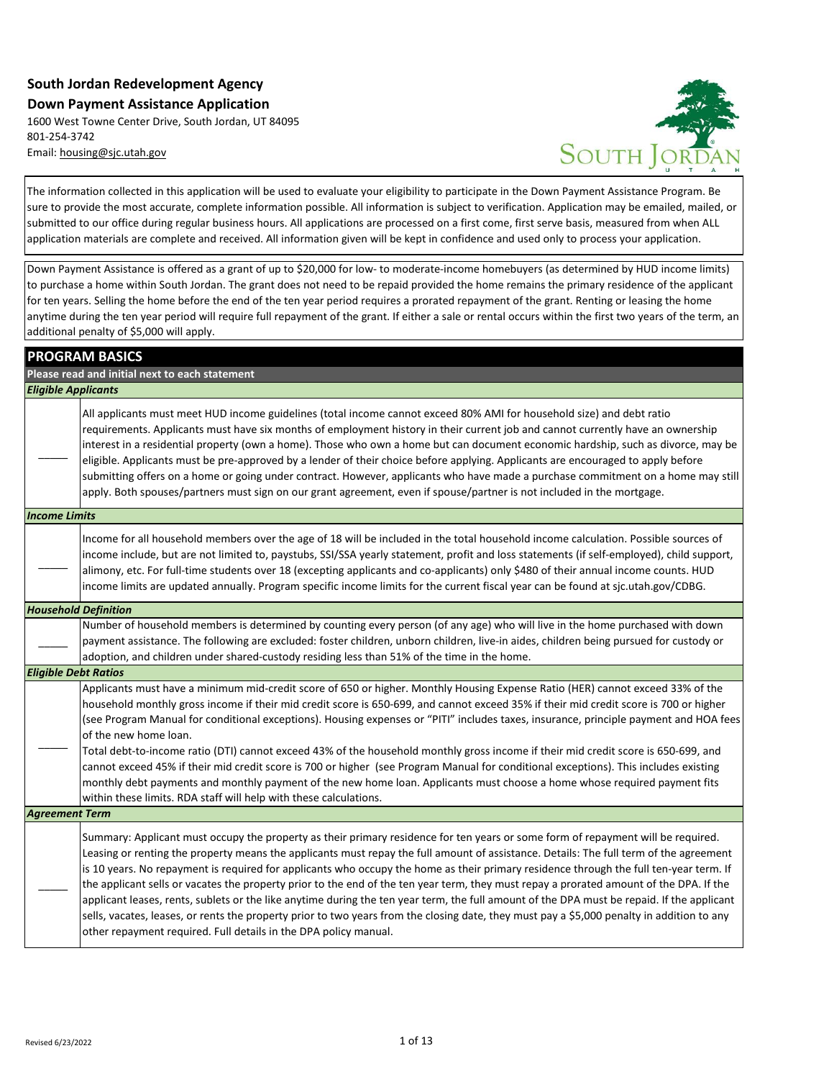## **South Jordan Redevelopment Agency Down Payment Assistance Application**

1600 West Towne Center Drive, South Jordan, UT 84095 801-254-3742 [Email: housing@sjc.utah.gov](mailto:housing@sjc.utah.gov)



The information collected in this application will be used to evaluate your eligibility to participate in the Down Payment Assistance Program. Be sure to provide the most accurate, complete information possible. All information is subject to verification. Application may be emailed, mailed, or submitted to our office during regular business hours. All applications are processed on a first come, first serve basis, measured from when ALL application materials are complete and received. All information given will be kept in confidence and used only to process your application.

Down Payment Assistance is offered as a grant of up to \$20,000 for low- to moderate-income homebuyers (as determined by HUD income limits) to purchase a home within South Jordan. The grant does not need to be repaid provided the home remains the primary residence of the applicant for ten years. Selling the home before the end of the ten year period requires a prorated repayment of the grant. Renting or leasing the home anytime during the ten year period will require full repayment of the grant. If either a sale or rental occurs within the first two years of the term, an additional penalty of \$5,000 will apply.

|                             | <b>PROGRAM BASICS</b>                                                                                                                                                                                                                                                                                                                                                                                                                                                                                                                                                                                                                                                                                                                                                                                                                                                                                                           |
|-----------------------------|---------------------------------------------------------------------------------------------------------------------------------------------------------------------------------------------------------------------------------------------------------------------------------------------------------------------------------------------------------------------------------------------------------------------------------------------------------------------------------------------------------------------------------------------------------------------------------------------------------------------------------------------------------------------------------------------------------------------------------------------------------------------------------------------------------------------------------------------------------------------------------------------------------------------------------|
|                             | Please read and initial next to each statement                                                                                                                                                                                                                                                                                                                                                                                                                                                                                                                                                                                                                                                                                                                                                                                                                                                                                  |
| <b>Eligible Applicants</b>  |                                                                                                                                                                                                                                                                                                                                                                                                                                                                                                                                                                                                                                                                                                                                                                                                                                                                                                                                 |
|                             | All applicants must meet HUD income guidelines (total income cannot exceed 80% AMI for household size) and debt ratio<br>requirements. Applicants must have six months of employment history in their current job and cannot currently have an ownership<br>interest in a residential property (own a home). Those who own a home but can document economic hardship, such as divorce, may be<br>eligible. Applicants must be pre-approved by a lender of their choice before applying. Applicants are encouraged to apply before<br>submitting offers on a home or going under contract. However, applicants who have made a purchase commitment on a home may still<br>apply. Both spouses/partners must sign on our grant agreement, even if spouse/partner is not included in the mortgage.                                                                                                                                 |
| <b>Income Limits</b>        |                                                                                                                                                                                                                                                                                                                                                                                                                                                                                                                                                                                                                                                                                                                                                                                                                                                                                                                                 |
|                             | Income for all household members over the age of 18 will be included in the total household income calculation. Possible sources of<br>income include, but are not limited to, paystubs, SSI/SSA yearly statement, profit and loss statements (if self-employed), child support,<br>alimony, etc. For full-time students over 18 (excepting applicants and co-applicants) only \$480 of their annual income counts. HUD<br>income limits are updated annually. Program specific income limits for the current fiscal year can be found at sjc.utah.gov/CDBG.                                                                                                                                                                                                                                                                                                                                                                    |
| <b>Household Definition</b> |                                                                                                                                                                                                                                                                                                                                                                                                                                                                                                                                                                                                                                                                                                                                                                                                                                                                                                                                 |
|                             | Number of household members is determined by counting every person (of any age) who will live in the home purchased with down<br>payment assistance. The following are excluded: foster children, unborn children, live-in aides, children being pursued for custody or<br>adoption, and children under shared-custody residing less than 51% of the time in the home.                                                                                                                                                                                                                                                                                                                                                                                                                                                                                                                                                          |
| <b>Eligible Debt Ratios</b> |                                                                                                                                                                                                                                                                                                                                                                                                                                                                                                                                                                                                                                                                                                                                                                                                                                                                                                                                 |
|                             | Applicants must have a minimum mid-credit score of 650 or higher. Monthly Housing Expense Ratio (HER) cannot exceed 33% of the<br>household monthly gross income if their mid credit score is 650-699, and cannot exceed 35% if their mid credit score is 700 or higher<br>(see Program Manual for conditional exceptions). Housing expenses or "PITI" includes taxes, insurance, principle payment and HOA fees<br>of the new home loan.<br>Total debt-to-income ratio (DTI) cannot exceed 43% of the household monthly gross income if their mid credit score is 650-699, and<br>cannot exceed 45% if their mid credit score is 700 or higher (see Program Manual for conditional exceptions). This includes existing<br>monthly debt payments and monthly payment of the new home loan. Applicants must choose a home whose required payment fits<br>within these limits. RDA staff will help with these calculations.       |
| <b>Agreement Term</b>       |                                                                                                                                                                                                                                                                                                                                                                                                                                                                                                                                                                                                                                                                                                                                                                                                                                                                                                                                 |
|                             | Summary: Applicant must occupy the property as their primary residence for ten years or some form of repayment will be required.<br>Leasing or renting the property means the applicants must repay the full amount of assistance. Details: The full term of the agreement<br>is 10 years. No repayment is required for applicants who occupy the home as their primary residence through the full ten-year term. If<br>the applicant sells or vacates the property prior to the end of the ten year term, they must repay a prorated amount of the DPA. If the<br>applicant leases, rents, sublets or the like anytime during the ten year term, the full amount of the DPA must be repaid. If the applicant<br>sells, vacates, leases, or rents the property prior to two years from the closing date, they must pay a \$5,000 penalty in addition to any<br>other repayment required. Full details in the DPA policy manual. |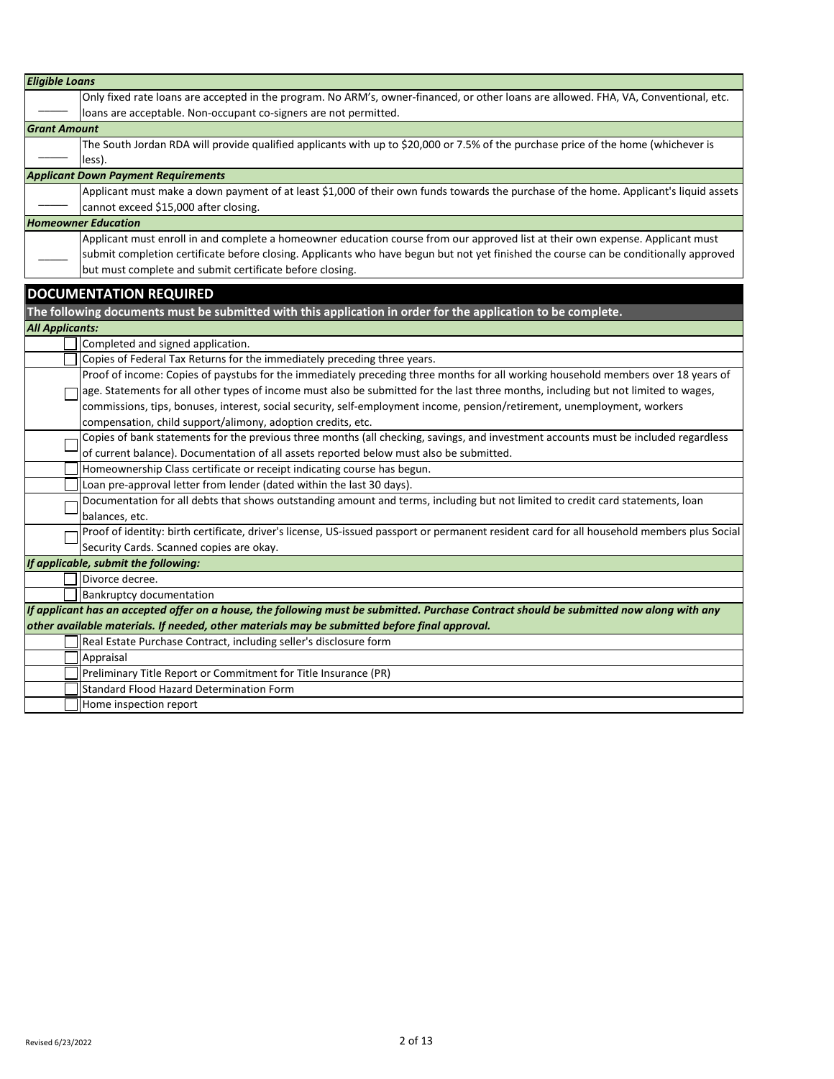| <b>Eligible Loans</b>  |                                                                                                                                             |
|------------------------|---------------------------------------------------------------------------------------------------------------------------------------------|
|                        | Only fixed rate loans are accepted in the program. No ARM's, owner-financed, or other loans are allowed. FHA, VA, Conventional, etc.        |
|                        | loans are acceptable. Non-occupant co-signers are not permitted.                                                                            |
| <b>Grant Amount</b>    |                                                                                                                                             |
|                        | The South Jordan RDA will provide qualified applicants with up to \$20,000 or 7.5% of the purchase price of the home (whichever is          |
|                        | less).                                                                                                                                      |
|                        | <b>Applicant Down Payment Requirements</b>                                                                                                  |
|                        | Applicant must make a down payment of at least \$1,000 of their own funds towards the purchase of the home. Applicant's liquid assets       |
|                        | cannot exceed \$15,000 after closing.                                                                                                       |
|                        | <b>Homeowner Education</b>                                                                                                                  |
|                        | Applicant must enroll in and complete a homeowner education course from our approved list at their own expense. Applicant must              |
|                        | submit completion certificate before closing. Applicants who have begun but not yet finished the course can be conditionally approved       |
|                        | but must complete and submit certificate before closing.                                                                                    |
|                        | <b>DOCUMENTATION REQUIRED</b>                                                                                                               |
|                        | The following documents must be submitted with this application in order for the application to be complete.                                |
| <b>All Applicants:</b> |                                                                                                                                             |
|                        | Completed and signed application.                                                                                                           |
|                        | Copies of Federal Tax Returns for the immediately preceding three years.                                                                    |
|                        | Proof of income: Copies of paystubs for the immediately preceding three months for all working household members over 18 years of           |
|                        | age. Statements for all other types of income must also be submitted for the last three months, including but not limited to wages,         |
|                        | commissions, tips, bonuses, interest, social security, self-employment income, pension/retirement, unemployment, workers                    |
|                        | compensation, child support/alimony, adoption credits, etc.                                                                                 |
|                        | Copies of bank statements for the previous three months (all checking, savings, and investment accounts must be included regardless         |
|                        | of current balance). Documentation of all assets reported below must also be submitted.                                                     |
|                        | Homeownership Class certificate or receipt indicating course has begun.                                                                     |
|                        | Loan pre-approval letter from lender (dated within the last 30 days).                                                                       |
|                        | Documentation for all debts that shows outstanding amount and terms, including but not limited to credit card statements, loan              |
|                        | balances, etc.                                                                                                                              |
|                        | Proof of identity: birth certificate, driver's license, US-issued passport or permanent resident card for all household members plus Social |
|                        | Security Cards. Scanned copies are okay.                                                                                                    |
|                        | If applicable, submit the following:                                                                                                        |
|                        | Divorce decree.                                                                                                                             |
|                        | <b>Bankruptcy documentation</b>                                                                                                             |
|                        | If applicant has an accepted offer on a house, the following must be submitted. Purchase Contract should be submitted now along with any    |
|                        | other available materials. If needed, other materials may be submitted before final approval.                                               |
|                        | Real Estate Purchase Contract, including seller's disclosure form                                                                           |
|                        | Appraisal                                                                                                                                   |
|                        | Preliminary Title Report or Commitment for Title Insurance (PR)                                                                             |
|                        | <b>Standard Flood Hazard Determination Form</b>                                                                                             |
|                        | Home inspection report                                                                                                                      |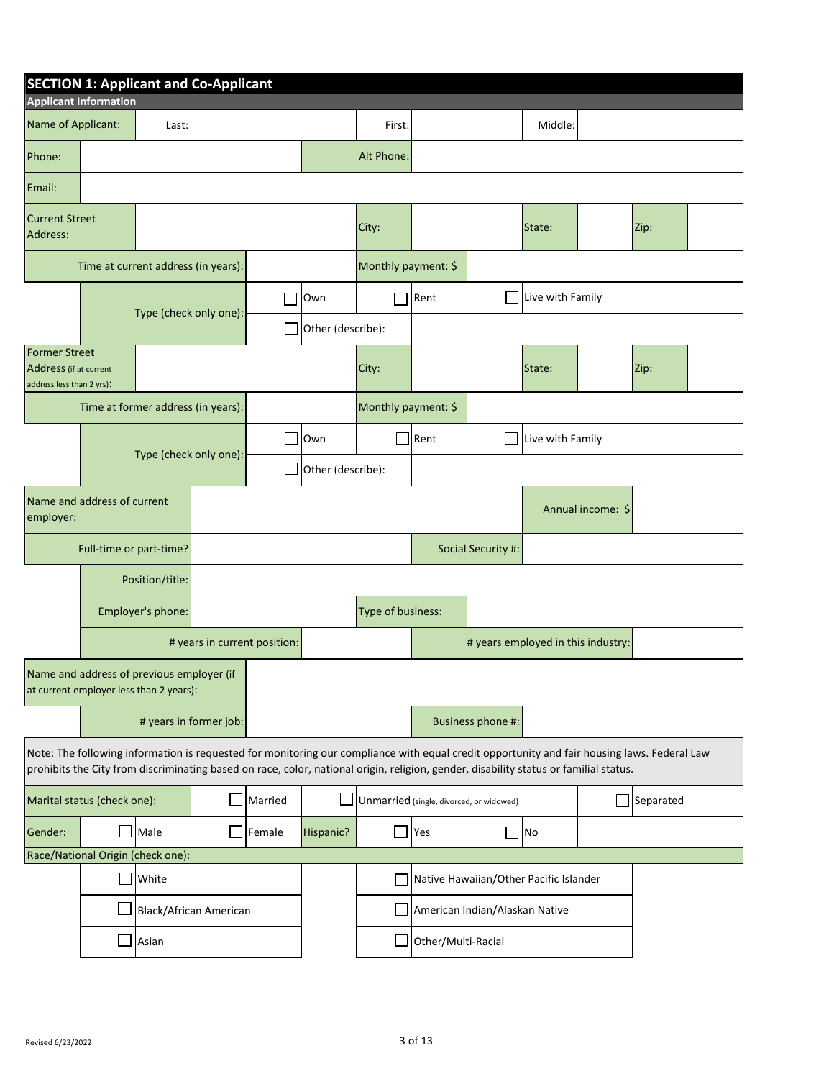|                                                                      |                              | <b>SECTION 1: Applicant and Co-Applicant</b>                                                                                                                                                                                                                                         |                        |                              |                   |                     |                                          |                   |                                        |  |           |  |
|----------------------------------------------------------------------|------------------------------|--------------------------------------------------------------------------------------------------------------------------------------------------------------------------------------------------------------------------------------------------------------------------------------|------------------------|------------------------------|-------------------|---------------------|------------------------------------------|-------------------|----------------------------------------|--|-----------|--|
|                                                                      | <b>Applicant Information</b> |                                                                                                                                                                                                                                                                                      |                        |                              |                   |                     |                                          |                   |                                        |  |           |  |
| Name of Applicant:                                                   |                              | Last:                                                                                                                                                                                                                                                                                |                        |                              |                   | First:              |                                          |                   | Middle:                                |  |           |  |
| Phone:                                                               |                              |                                                                                                                                                                                                                                                                                      |                        |                              |                   | Alt Phone:          |                                          |                   |                                        |  |           |  |
| Email:                                                               |                              |                                                                                                                                                                                                                                                                                      |                        |                              |                   |                     |                                          |                   |                                        |  |           |  |
| <b>Current Street</b><br>Address:                                    |                              |                                                                                                                                                                                                                                                                                      |                        |                              |                   | City:               |                                          |                   | State:                                 |  | Zip:      |  |
|                                                                      |                              | Time at current address (in years):                                                                                                                                                                                                                                                  |                        |                              |                   | Monthly payment: \$ |                                          |                   |                                        |  |           |  |
|                                                                      |                              |                                                                                                                                                                                                                                                                                      |                        |                              | Own               |                     | Rent                                     |                   | Live with Family                       |  |           |  |
|                                                                      |                              | Type (check only one):                                                                                                                                                                                                                                                               |                        |                              | Other (describe): |                     |                                          |                   |                                        |  |           |  |
| Former Street<br>Address (if at current<br>address less than 2 yrs): |                              |                                                                                                                                                                                                                                                                                      |                        |                              |                   | City:               |                                          |                   | State:                                 |  | Zip:      |  |
|                                                                      |                              | Time at former address (in years):                                                                                                                                                                                                                                                   |                        |                              |                   | Monthly payment: \$ |                                          |                   |                                        |  |           |  |
|                                                                      |                              |                                                                                                                                                                                                                                                                                      |                        |                              | Own               | ो                   | Rent                                     |                   | Live with Family                       |  |           |  |
|                                                                      |                              | Type (check only one):                                                                                                                                                                                                                                                               |                        |                              | Other (describe): |                     |                                          |                   |                                        |  |           |  |
| Name and address of current<br>employer:                             |                              |                                                                                                                                                                                                                                                                                      |                        |                              |                   |                     |                                          |                   | Annual income: \$                      |  |           |  |
|                                                                      | Full-time or part-time?      |                                                                                                                                                                                                                                                                                      |                        |                              |                   |                     | Social Security #:                       |                   |                                        |  |           |  |
|                                                                      |                              | Position/title:                                                                                                                                                                                                                                                                      |                        |                              |                   |                     |                                          |                   |                                        |  |           |  |
|                                                                      |                              | Employer's phone:                                                                                                                                                                                                                                                                    |                        |                              |                   |                     | Type of business:                        |                   |                                        |  |           |  |
|                                                                      |                              |                                                                                                                                                                                                                                                                                      |                        | # years in current position: |                   |                     | # years employed in this industry:       |                   |                                        |  |           |  |
|                                                                      |                              | Name and address of previous employer (if<br>at current employer less than 2 years):                                                                                                                                                                                                 |                        |                              |                   |                     |                                          |                   |                                        |  |           |  |
|                                                                      |                              |                                                                                                                                                                                                                                                                                      | # years in former job: |                              |                   |                     |                                          | Business phone #: |                                        |  |           |  |
|                                                                      |                              | Note: The following information is requested for monitoring our compliance with equal credit opportunity and fair housing laws. Federal Law<br>prohibits the City from discriminating based on race, color, national origin, religion, gender, disability status or familial status. |                        |                              |                   |                     |                                          |                   |                                        |  |           |  |
|                                                                      | Marital status (check one):  |                                                                                                                                                                                                                                                                                      |                        | Married                      |                   |                     | Unmarried (single, divorced, or widowed) |                   |                                        |  | Separated |  |
| Gender:                                                              |                              | Male                                                                                                                                                                                                                                                                                 |                        | Female                       | Hispanic?         |                     | Yes                                      |                   | <b>No</b>                              |  |           |  |
|                                                                      |                              | Race/National Origin (check one):                                                                                                                                                                                                                                                    |                        |                              |                   |                     |                                          |                   |                                        |  |           |  |
|                                                                      |                              | White                                                                                                                                                                                                                                                                                |                        |                              |                   |                     |                                          |                   | Native Hawaiian/Other Pacific Islander |  |           |  |
|                                                                      |                              | <b>Black/African American</b>                                                                                                                                                                                                                                                        |                        |                              |                   |                     | American Indian/Alaskan Native           |                   |                                        |  |           |  |
|                                                                      | $\sim$                       | Asian                                                                                                                                                                                                                                                                                |                        |                              |                   |                     | Other/Multi-Racial                       |                   |                                        |  |           |  |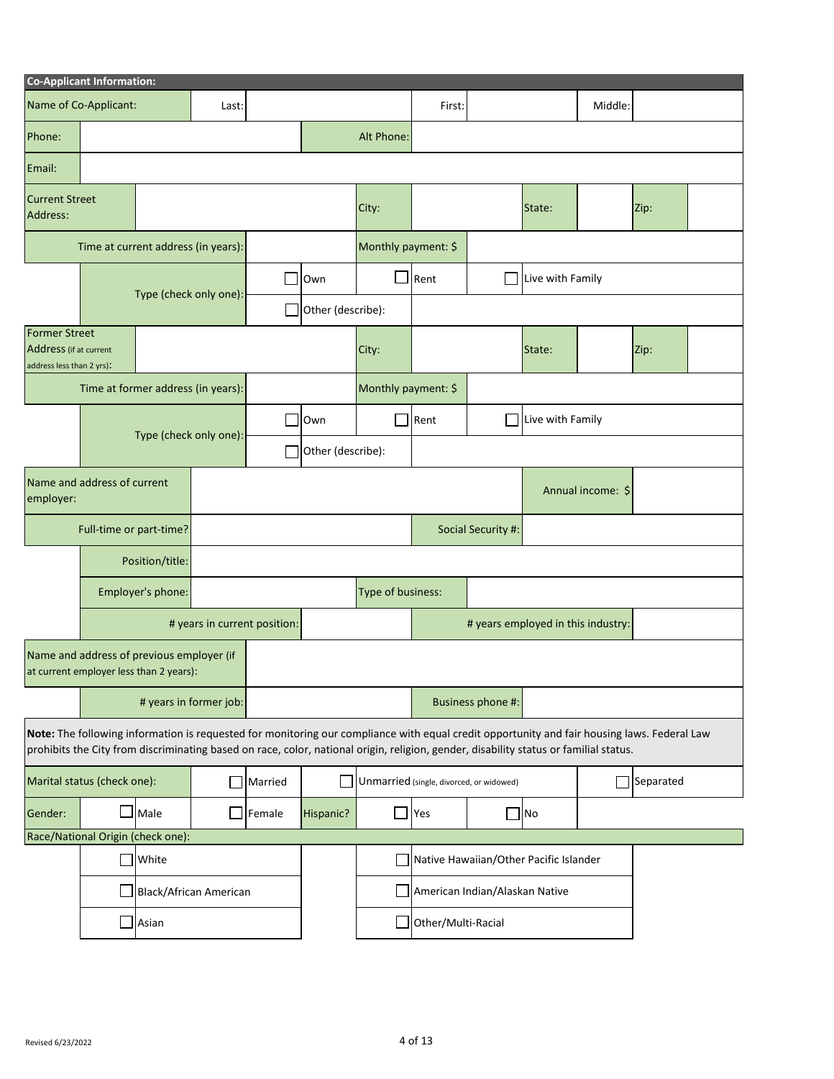|                                                                      | <b>Co-Applicant Information:</b>                                                     |                               |                        |                              |                   |                     |                                                                                                                                                                                                                                                                                      |                    |                                    |                   |           |  |
|----------------------------------------------------------------------|--------------------------------------------------------------------------------------|-------------------------------|------------------------|------------------------------|-------------------|---------------------|--------------------------------------------------------------------------------------------------------------------------------------------------------------------------------------------------------------------------------------------------------------------------------------|--------------------|------------------------------------|-------------------|-----------|--|
|                                                                      | Name of Co-Applicant:                                                                |                               | Last:                  |                              |                   |                     | First:                                                                                                                                                                                                                                                                               |                    |                                    | Middle:           |           |  |
| Phone:                                                               |                                                                                      |                               |                        |                              |                   | Alt Phone:          |                                                                                                                                                                                                                                                                                      |                    |                                    |                   |           |  |
| Email:                                                               |                                                                                      |                               |                        |                              |                   |                     |                                                                                                                                                                                                                                                                                      |                    |                                    |                   |           |  |
| <b>Current Street</b><br>Address:                                    |                                                                                      |                               |                        |                              |                   | City:               |                                                                                                                                                                                                                                                                                      |                    | State:                             |                   | Zip:      |  |
|                                                                      | Time at current address (in years):                                                  |                               |                        |                              |                   | Monthly payment: \$ |                                                                                                                                                                                                                                                                                      |                    |                                    |                   |           |  |
|                                                                      |                                                                                      |                               |                        |                              | Own               |                     | Rent<br>Live with Family                                                                                                                                                                                                                                                             |                    |                                    |                   |           |  |
|                                                                      |                                                                                      | Type (check only one):        |                        |                              | Other (describe): |                     |                                                                                                                                                                                                                                                                                      |                    |                                    |                   |           |  |
| Former Street<br>Address (if at current<br>address less than 2 yrs): |                                                                                      |                               |                        |                              |                   | City:               |                                                                                                                                                                                                                                                                                      |                    | State:                             |                   | Zip:      |  |
|                                                                      | Time at former address (in years):                                                   |                               |                        |                              |                   | Monthly payment: \$ |                                                                                                                                                                                                                                                                                      |                    |                                    |                   |           |  |
|                                                                      |                                                                                      | Type (check only one):        |                        |                              | Own               |                     | Rent                                                                                                                                                                                                                                                                                 |                    | Live with Family                   |                   |           |  |
|                                                                      |                                                                                      |                               |                        |                              | Other (describe): |                     |                                                                                                                                                                                                                                                                                      |                    |                                    |                   |           |  |
| employer:                                                            | Name and address of current                                                          |                               |                        |                              |                   |                     |                                                                                                                                                                                                                                                                                      |                    |                                    | Annual income: \$ |           |  |
|                                                                      | Full-time or part-time?                                                              |                               |                        |                              |                   |                     |                                                                                                                                                                                                                                                                                      | Social Security #: |                                    |                   |           |  |
|                                                                      |                                                                                      | Position/title:               |                        |                              |                   |                     |                                                                                                                                                                                                                                                                                      |                    |                                    |                   |           |  |
|                                                                      |                                                                                      | Employer's phone:             |                        |                              | Type of business: |                     |                                                                                                                                                                                                                                                                                      |                    |                                    |                   |           |  |
|                                                                      |                                                                                      |                               |                        | # years in current position: |                   |                     |                                                                                                                                                                                                                                                                                      |                    | # years employed in this industry: |                   |           |  |
|                                                                      | Name and address of previous employer (if<br>at current employer less than 2 years): |                               |                        |                              |                   |                     |                                                                                                                                                                                                                                                                                      |                    |                                    |                   |           |  |
|                                                                      |                                                                                      |                               | # years in former job: |                              |                   |                     |                                                                                                                                                                                                                                                                                      | Business phone #:  |                                    |                   |           |  |
|                                                                      |                                                                                      |                               |                        |                              |                   |                     | Note: The following information is requested for monitoring our compliance with equal credit opportunity and fair housing laws. Federal Law<br>prohibits the City from discriminating based on race, color, national origin, religion, gender, disability status or familial status. |                    |                                    |                   |           |  |
|                                                                      | Marital status (check one):                                                          |                               |                        | Married                      |                   |                     | Unmarried (single, divorced, or widowed)                                                                                                                                                                                                                                             |                    |                                    |                   | Separated |  |
| Gender:                                                              |                                                                                      | Male                          |                        | Female                       | Hispanic?         | $\blacksquare$      | Yes                                                                                                                                                                                                                                                                                  |                    | No                                 |                   |           |  |
|                                                                      | Race/National Origin (check one):                                                    |                               |                        |                              |                   |                     |                                                                                                                                                                                                                                                                                      |                    |                                    |                   |           |  |
|                                                                      |                                                                                      | White                         |                        |                              |                   |                     | Native Hawaiian/Other Pacific Islander                                                                                                                                                                                                                                               |                    |                                    |                   |           |  |
|                                                                      |                                                                                      | <b>Black/African American</b> |                        |                              |                   |                     | American Indian/Alaskan Native                                                                                                                                                                                                                                                       |                    |                                    |                   |           |  |
|                                                                      | Asian                                                                                |                               |                        | Other/Multi-Racial           |                   |                     |                                                                                                                                                                                                                                                                                      |                    |                                    |                   |           |  |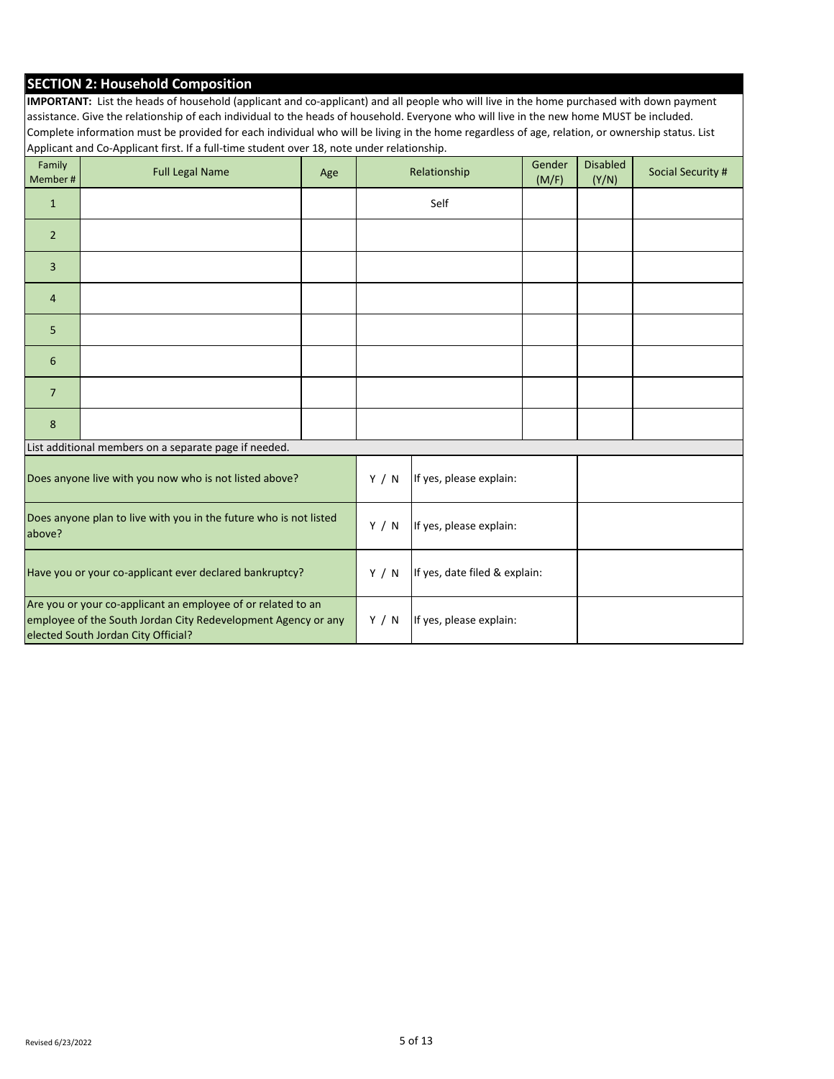## **SECTION 2: Household Composition**

**IMPORTANT:** List the heads of household (applicant and co-applicant) and all people who will live in the home purchased with down payment assistance. Give the relationship of each individual to the heads of household. Everyone who will live in the new home MUST be included. Complete information must be provided for each individual who will be living in the home regardless of age, relation, or ownership status. List Applicant and Co-Applicant first. If a full-time student over 18, note under relationship.

| Family<br>Member #                                                                                                                                                   | <b>Full Legal Name</b>                                 | Age |       | Relationship                  | Gender<br>(M/F) | <b>Disabled</b><br>(Y/N) | Social Security # |
|----------------------------------------------------------------------------------------------------------------------------------------------------------------------|--------------------------------------------------------|-----|-------|-------------------------------|-----------------|--------------------------|-------------------|
| $\mathbf{1}$                                                                                                                                                         |                                                        |     |       | Self                          |                 |                          |                   |
| $\overline{2}$                                                                                                                                                       |                                                        |     |       |                               |                 |                          |                   |
| $\overline{3}$                                                                                                                                                       |                                                        |     |       |                               |                 |                          |                   |
| $\overline{a}$                                                                                                                                                       |                                                        |     |       |                               |                 |                          |                   |
| 5                                                                                                                                                                    |                                                        |     |       |                               |                 |                          |                   |
| $6\phantom{1}6$                                                                                                                                                      |                                                        |     |       |                               |                 |                          |                   |
| $\overline{7}$                                                                                                                                                       |                                                        |     |       |                               |                 |                          |                   |
| $\bf 8$                                                                                                                                                              |                                                        |     |       |                               |                 |                          |                   |
|                                                                                                                                                                      | List additional members on a separate page if needed.  |     |       |                               |                 |                          |                   |
|                                                                                                                                                                      | Does anyone live with you now who is not listed above? |     | Y / N | If yes, please explain:       |                 |                          |                   |
| Does anyone plan to live with you in the future who is not listed<br>above?                                                                                          |                                                        |     | Y / N | If yes, please explain:       |                 |                          |                   |
| Have you or your co-applicant ever declared bankruptcy?                                                                                                              |                                                        |     | Y / N | If yes, date filed & explain: |                 |                          |                   |
| Are you or your co-applicant an employee of or related to an<br>employee of the South Jordan City Redevelopment Agency or any<br>elected South Jordan City Official? |                                                        |     |       | If yes, please explain:       |                 |                          |                   |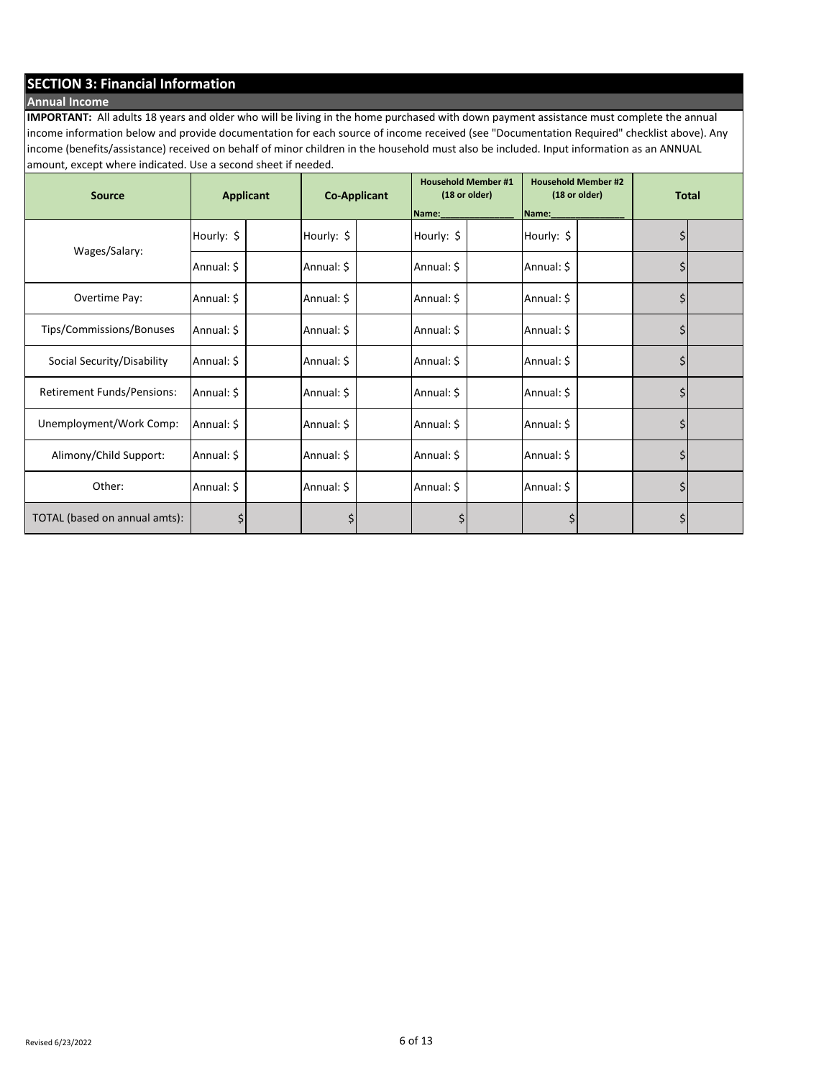## **SECTION 3: Financial Information**

## **Annual Income**

**IMPORTANT:** All adults 18 years and older who will be living in the home purchased with down payment assistance must complete the annual income information below and provide documentation for each source of income received (see "Documentation Required" checklist above). Any income (benefits/assistance) received on behalf of minor children in the household must also be included. Input information as an ANNUAL amount, except where indicated. Use a second sheet if needed.

| <b>Source</b>                     | <b>Applicant</b> |  |            | <b>Co-Applicant</b> |            | <b>Household Member #1</b><br>(18 or older) |            | <b>Household Member #2</b><br>(18 or older) |    | <b>Total</b> |  |
|-----------------------------------|------------------|--|------------|---------------------|------------|---------------------------------------------|------------|---------------------------------------------|----|--------------|--|
|                                   |                  |  |            |                     | Name:      |                                             | Name:      |                                             |    |              |  |
| Wages/Salary:                     | Hourly: \$       |  | Hourly: \$ |                     | Hourly: \$ |                                             | Hourly: \$ |                                             |    |              |  |
|                                   | Annual: \$       |  | Annual: \$ |                     | Annual: \$ |                                             | Annual: \$ |                                             | \$ |              |  |
| Overtime Pay:                     | Annual: \$       |  | Annual: \$ |                     | Annual: \$ |                                             | Annual: \$ |                                             | \$ |              |  |
| Tips/Commissions/Bonuses          | Annual: \$       |  | Annual: \$ |                     | Annual: \$ |                                             | Annual: \$ |                                             | \$ |              |  |
| Social Security/Disability        | Annual: \$       |  | Annual: \$ |                     | Annual: \$ |                                             | Annual: \$ |                                             | \$ |              |  |
| <b>Retirement Funds/Pensions:</b> | Annual: \$       |  | Annual: \$ |                     | Annual: \$ |                                             | Annual: \$ |                                             | \$ |              |  |
| Unemployment/Work Comp:           | Annual: \$       |  | Annual: \$ |                     | Annual: \$ |                                             | Annual: \$ |                                             | \$ |              |  |
| Alimony/Child Support:            | Annual: \$       |  | Annual: \$ |                     | Annual: \$ |                                             | Annual: \$ |                                             | \$ |              |  |
| Other:                            | Annual: \$       |  | Annual: \$ |                     | Annual: \$ |                                             | Annual: \$ |                                             | \$ |              |  |
| TOTAL (based on annual amts):     | \$               |  | \$         |                     | Ş          |                                             | Ş          |                                             | \$ |              |  |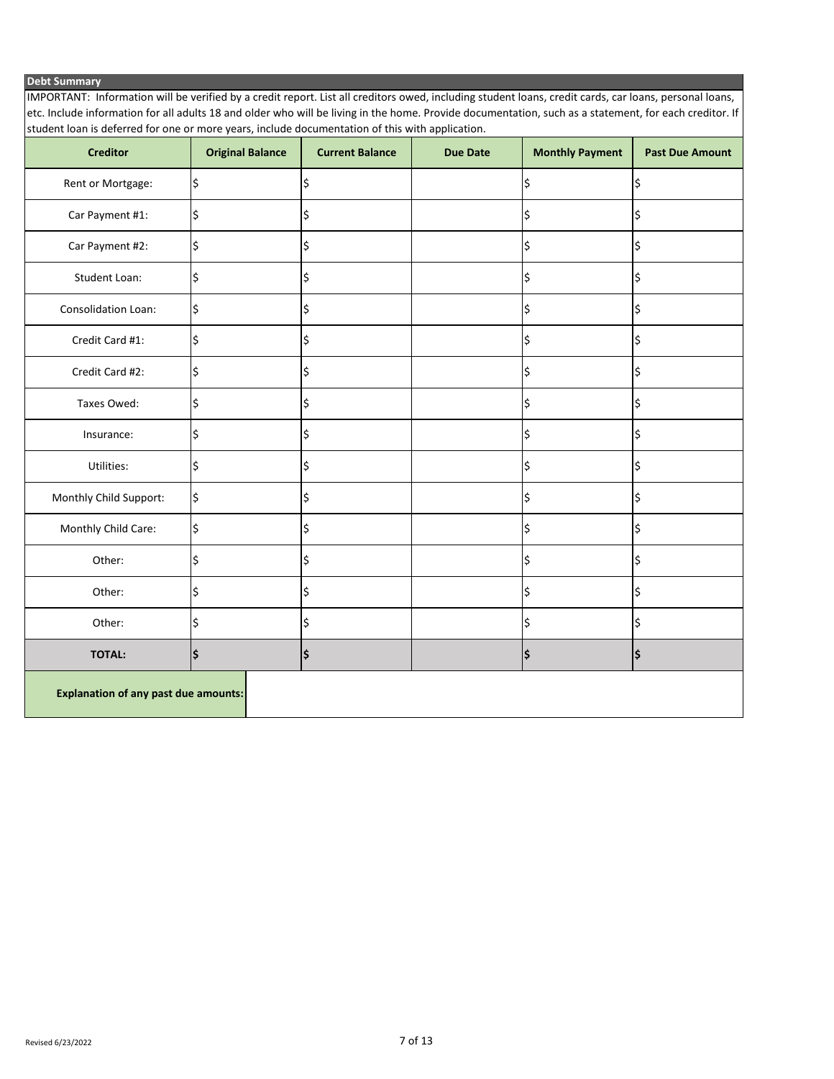#### **Debt Summary**

IMPORTANT: Information will be verified by a credit report. List all creditors owed, including student loans, credit cards, car loans, personal loans, etc. Include information for all adults 18 and older who will be living in the home. Provide documentation, such as a statement, for each creditor. If student loan is deferred for one or more years, include documentation of this with application.

| <b>Creditor</b>                             | <b>Original Balance</b> | <b>Current Balance</b> | <b>Due Date</b> | <b>Monthly Payment</b> | <b>Past Due Amount</b> |  |  |
|---------------------------------------------|-------------------------|------------------------|-----------------|------------------------|------------------------|--|--|
| Rent or Mortgage:                           | \$                      | \$                     |                 | \$                     | \$                     |  |  |
| Car Payment #1:                             | \$                      | \$                     |                 | \$                     | \$                     |  |  |
| Car Payment #2:                             | \$                      | \$                     |                 | \$                     | \$                     |  |  |
| <b>Student Loan:</b>                        | \$                      | \$                     |                 | \$                     | \$                     |  |  |
| Consolidation Loan:                         | \$                      | \$                     |                 | \$                     | \$                     |  |  |
| Credit Card #1:                             | \$                      | \$                     |                 | \$                     | \$                     |  |  |
| Credit Card #2:                             | \$                      | \$                     |                 | \$                     | \$                     |  |  |
| Taxes Owed:                                 | \$                      | \$                     |                 | \$                     | \$                     |  |  |
| Insurance:                                  | \$                      | \$                     |                 | \$                     | \$                     |  |  |
| Utilities:                                  | \$                      | \$                     |                 | \$                     | \$                     |  |  |
| Monthly Child Support:                      | \$                      | \$                     |                 | \$                     | \$                     |  |  |
| Monthly Child Care:                         | \$                      | \$                     |                 | \$                     | \$                     |  |  |
| Other:                                      | \$                      | \$                     |                 | \$                     | \$                     |  |  |
| Other:                                      | \$                      | \$                     |                 | \$                     | \$                     |  |  |
| Other:                                      | \$                      | \$                     |                 | \$                     | \$                     |  |  |
| <b>TOTAL:</b>                               | \$                      | \$                     |                 | \$                     | \$                     |  |  |
| <b>Explanation of any past due amounts:</b> |                         |                        |                 |                        |                        |  |  |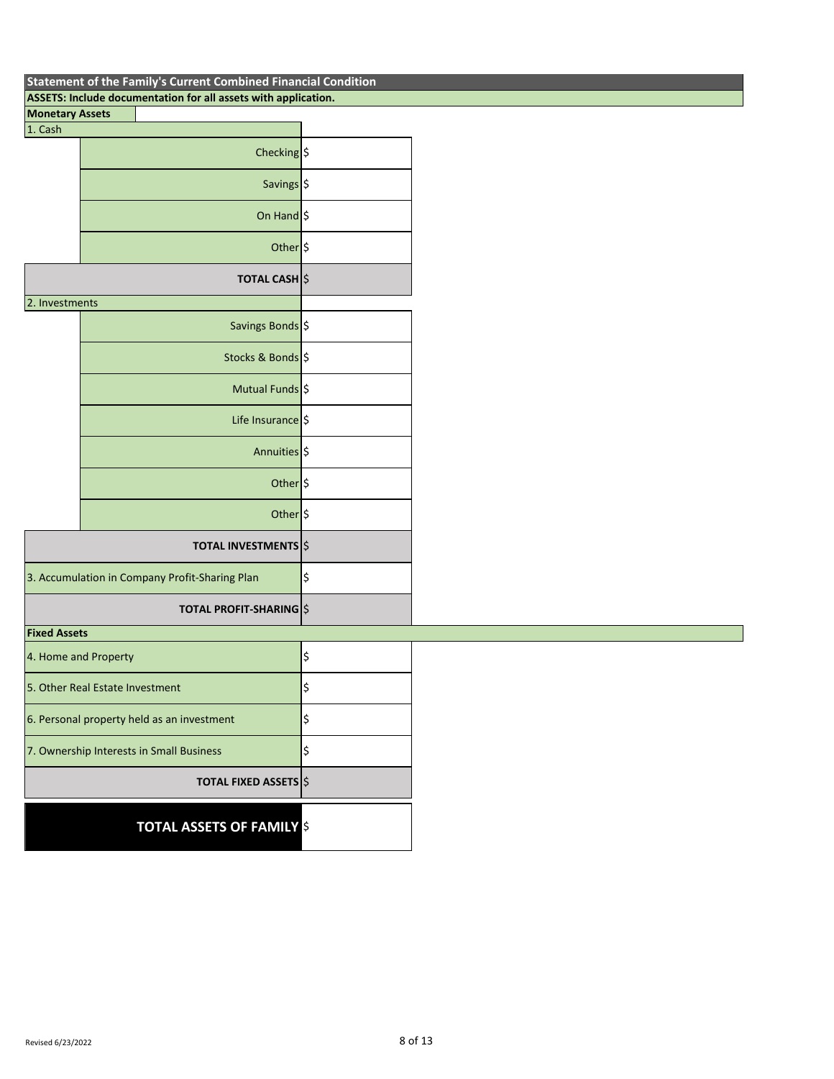| Statement of the Family S Current Combined Financial Condition<br>ASSETS: Include documentation for all assets with application. |    |  |  |  |  |  |  |
|----------------------------------------------------------------------------------------------------------------------------------|----|--|--|--|--|--|--|
| <b>Monetary Assets</b>                                                                                                           |    |  |  |  |  |  |  |
| 1. Cash                                                                                                                          |    |  |  |  |  |  |  |
| Checking \$                                                                                                                      |    |  |  |  |  |  |  |
| Savings \$                                                                                                                       |    |  |  |  |  |  |  |
| On Hand $\frac{1}{2}$                                                                                                            |    |  |  |  |  |  |  |
| Other <sup>5</sup>                                                                                                               |    |  |  |  |  |  |  |
| <b>TOTAL CASH</b> S                                                                                                              |    |  |  |  |  |  |  |
| 2. Investments                                                                                                                   |    |  |  |  |  |  |  |
| Savings Bonds \$                                                                                                                 |    |  |  |  |  |  |  |
| Stocks & Bonds \$                                                                                                                |    |  |  |  |  |  |  |
| Mutual Funds \$                                                                                                                  |    |  |  |  |  |  |  |
| Life Insurance   \$                                                                                                              |    |  |  |  |  |  |  |
| Annuities \$                                                                                                                     |    |  |  |  |  |  |  |
| Other <sup>5</sup>                                                                                                               |    |  |  |  |  |  |  |
| Other <sup>5</sup>                                                                                                               |    |  |  |  |  |  |  |
| <b>TOTAL INVESTMENTS</b>                                                                                                         |    |  |  |  |  |  |  |
| 3. Accumulation in Company Profit-Sharing Plan                                                                                   | \$ |  |  |  |  |  |  |
| <b>TOTAL PROFIT-SHARING S</b>                                                                                                    |    |  |  |  |  |  |  |
| <b>Fixed Assets</b>                                                                                                              |    |  |  |  |  |  |  |
| 4. Home and Property                                                                                                             | \$ |  |  |  |  |  |  |
| 5. Other Real Estate Investment                                                                                                  | \$ |  |  |  |  |  |  |
| 6. Personal property held as an investment                                                                                       | \$ |  |  |  |  |  |  |
| 7. Ownership Interests in Small Business                                                                                         | \$ |  |  |  |  |  |  |
| <b>TOTAL FIXED ASSETS</b> \$                                                                                                     |    |  |  |  |  |  |  |
| <b>TOTAL ASSETS OF FAMILY S</b>                                                                                                  |    |  |  |  |  |  |  |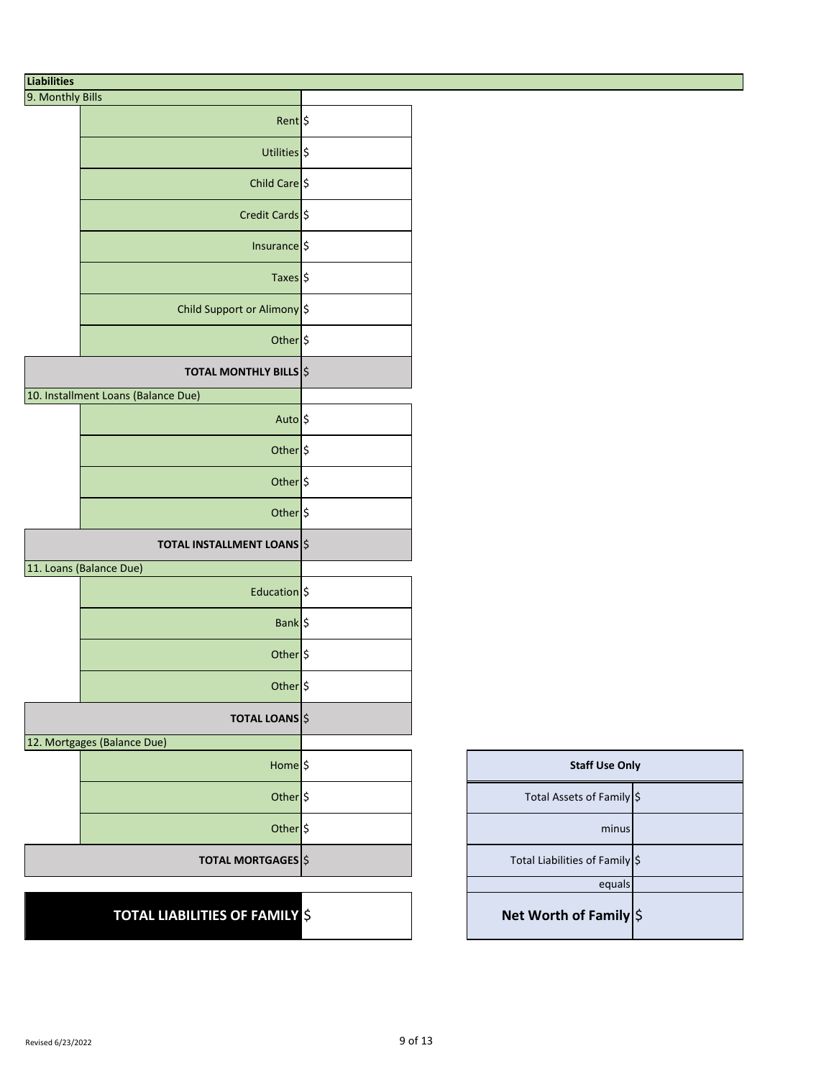# **Liabilities**

| 9. Monthly Bills |                                     |  |
|------------------|-------------------------------------|--|
|                  | Rent \$                             |  |
|                  | Utilities \$                        |  |
|                  | Child Care \$                       |  |
|                  | Credit Cards \$                     |  |
|                  | Insurance \$                        |  |
|                  | Taxes \$                            |  |
|                  | Child Support or Alimony \$         |  |
|                  | Other \$                            |  |
|                  | <b>TOTAL MONTHLY BILLS</b> \$       |  |
|                  | 10. Installment Loans (Balance Due) |  |
|                  | Auto \$                             |  |
|                  | Other \$                            |  |
|                  | Other \$                            |  |
|                  | Other \$                            |  |
|                  | <b>TOTAL INSTALLMENT LOANS</b>      |  |
|                  | 11. Loans (Balance Due)             |  |
|                  | Education \$                        |  |
|                  | Bank  \$                            |  |
|                  | Other \$                            |  |
|                  | Other <sub>S</sub>                  |  |
|                  | <b>TOTAL LOANS</b>                  |  |
|                  | 12. Mortgages (Balance Due)         |  |
|                  | Home <sub>S</sub>                   |  |
|                  | Other \$                            |  |
|                  | Other \$                            |  |
|                  | <b>TOTAL MORTGAGES</b> \$           |  |
|                  |                                     |  |

# **TOTAL LIABILITIES OF FAMILY** \$

| <b>Staff Use Only</b>            |  |  |  |  |  |
|----------------------------------|--|--|--|--|--|
| Total Assets of Family \$        |  |  |  |  |  |
| minus                            |  |  |  |  |  |
| Total Liabilities of Family   \$ |  |  |  |  |  |
| equals                           |  |  |  |  |  |
| Net Worth of Family \$           |  |  |  |  |  |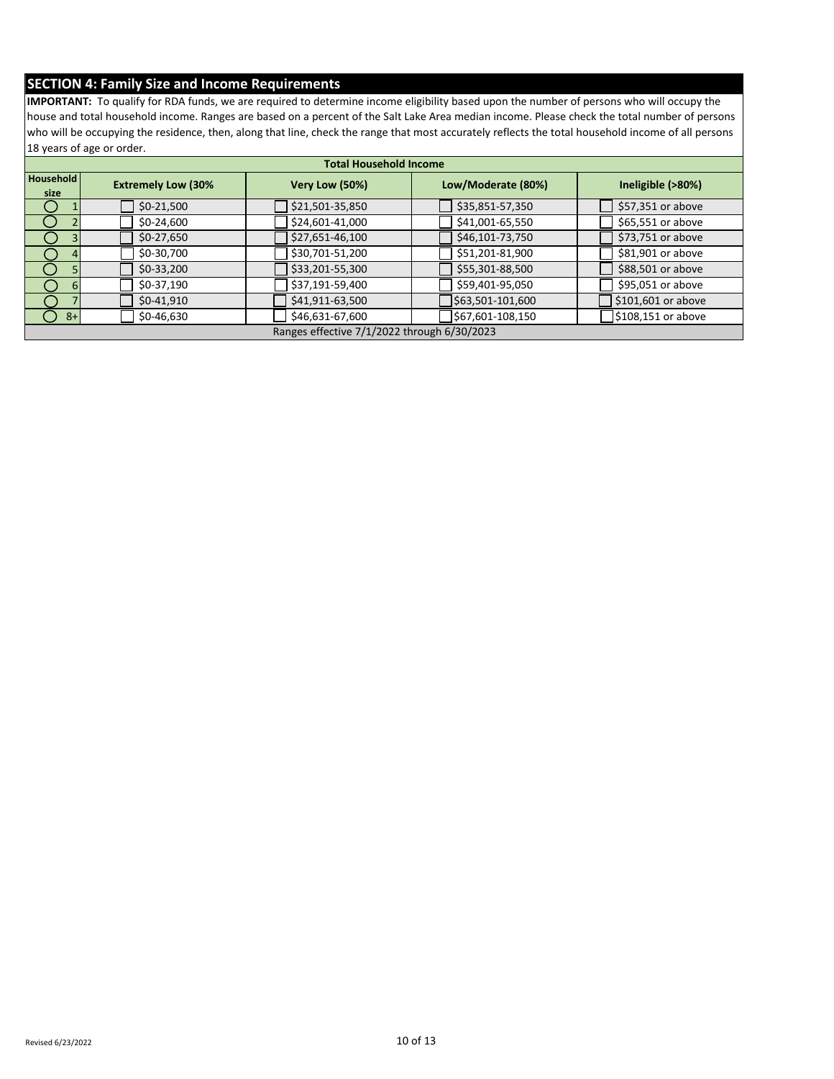## **SECTION 4: Family Size and Income Requirements**

**IMPORTANT:** To qualify for RDA funds, we are required to determine income eligibility based upon the number of persons who will occupy the house and total household income. Ranges are based on a percent of the Salt Lake Area median income. Please check the total number of persons who will be occupying the residence, then, along that line, check the range that most accurately reflects the total household income of all persons 18 years of age or order.

| <b>Total Household Income</b> |                           |                                             |                    |                    |  |  |  |  |
|-------------------------------|---------------------------|---------------------------------------------|--------------------|--------------------|--|--|--|--|
| Household<br>size             | <b>Extremely Low (30%</b> | Very Low (50%)                              | Low/Moderate (80%) | Ineligible (>80%)  |  |  |  |  |
|                               | $$0-21,500$               | \$21,501-35,850                             | \$35,851-57,350    | \$57,351 or above  |  |  |  |  |
|                               | $$0-24,600$               | \$24,601-41,000                             | \$41,001-65,550    | \$65,551 or above  |  |  |  |  |
|                               | $$0-27,650$               | \$27,651-46,100                             | \$46,101-73,750    | \$73,751 or above  |  |  |  |  |
|                               | \$0-30,700                | \$30,701-51,200                             | \$51,201-81,900    | \$81,901 or above  |  |  |  |  |
|                               | $$0-33,200$               | \$33,201-55,300                             | \$55,301-88,500    | \$88,501 or above  |  |  |  |  |
|                               | $$0-37,190$               | \$37,191-59,400                             | \$59,401-95,050    | \$95,051 or above  |  |  |  |  |
|                               | $$0-41,910$               | \$41,911-63,500                             | \$63,501-101,600   | \$101,601 or above |  |  |  |  |
| $8+$                          | \$0-46,630                | \$46,631-67,600                             | \$67,601-108,150   | \$108,151 or above |  |  |  |  |
|                               |                           | Ranges effective 7/1/2022 through 6/30/2023 |                    |                    |  |  |  |  |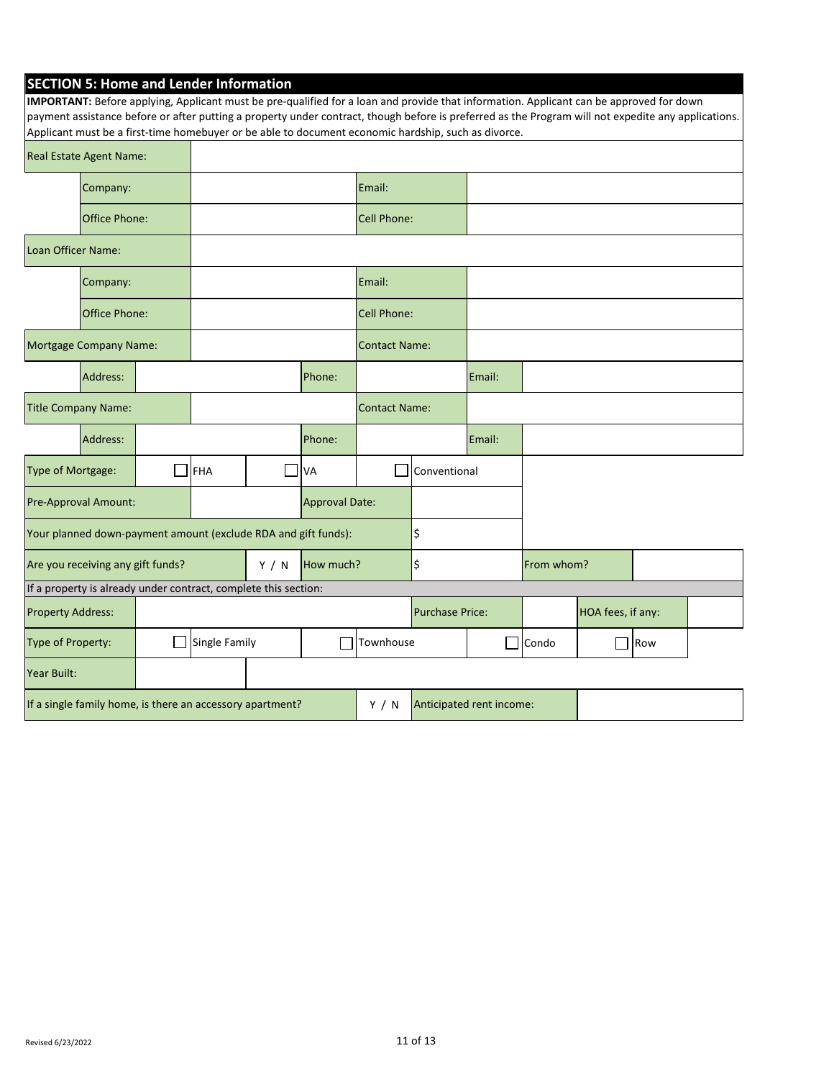| <b>SECTION 5: Home and Lender Information</b> |  |  |  |
|-----------------------------------------------|--|--|--|
|-----------------------------------------------|--|--|--|

| IMPORTANT: Before applying, Applicant must be pre-qualified for a loan and provide that information. Applicant can be approved for down<br>payment assistance before or after putting a property under contract, though before is preferred as the Program will not expedite any applications.<br>Applicant must be a first-time homebuyer or be able to document economic hardship, such as divorce. |                         |                |                      |                        |                      |                          |                   |        |       |  |     |  |
|-------------------------------------------------------------------------------------------------------------------------------------------------------------------------------------------------------------------------------------------------------------------------------------------------------------------------------------------------------------------------------------------------------|-------------------------|----------------|----------------------|------------------------|----------------------|--------------------------|-------------------|--------|-------|--|-----|--|
|                                                                                                                                                                                                                                                                                                                                                                                                       | Real Estate Agent Name: |                |                      |                        |                      |                          |                   |        |       |  |     |  |
|                                                                                                                                                                                                                                                                                                                                                                                                       | Company:                |                |                      |                        |                      | Email:                   |                   |        |       |  |     |  |
| Office Phone:                                                                                                                                                                                                                                                                                                                                                                                         |                         |                | Cell Phone:          |                        |                      |                          |                   |        |       |  |     |  |
| Loan Officer Name:                                                                                                                                                                                                                                                                                                                                                                                    |                         |                |                      |                        |                      |                          |                   |        |       |  |     |  |
|                                                                                                                                                                                                                                                                                                                                                                                                       | Company:                |                |                      |                        |                      | Email:                   |                   |        |       |  |     |  |
|                                                                                                                                                                                                                                                                                                                                                                                                       | <b>Office Phone:</b>    |                |                      |                        |                      | <b>Cell Phone:</b>       |                   |        |       |  |     |  |
| Mortgage Company Name:                                                                                                                                                                                                                                                                                                                                                                                |                         |                | <b>Contact Name:</b> |                        |                      |                          |                   |        |       |  |     |  |
|                                                                                                                                                                                                                                                                                                                                                                                                       | Address:                |                |                      |                        | Phone:               |                          |                   | Email: |       |  |     |  |
| <b>Title Company Name:</b>                                                                                                                                                                                                                                                                                                                                                                            |                         |                |                      |                        | <b>Contact Name:</b> |                          |                   |        |       |  |     |  |
|                                                                                                                                                                                                                                                                                                                                                                                                       | Address:                |                |                      |                        | Phone:               |                          |                   | Email: |       |  |     |  |
| Type of Mortgage:                                                                                                                                                                                                                                                                                                                                                                                     |                         |                | <b>FHA</b>           |                        | <b>VA</b>            |                          | Conventional      |        |       |  |     |  |
| Pre-Approval Amount:                                                                                                                                                                                                                                                                                                                                                                                  |                         | Approval Date: |                      |                        |                      |                          |                   |        |       |  |     |  |
| Your planned down-payment amount (exclude RDA and gift funds):                                                                                                                                                                                                                                                                                                                                        |                         |                |                      |                        | \$                   |                          |                   |        |       |  |     |  |
| Are you receiving any gift funds?<br>Y / N                                                                                                                                                                                                                                                                                                                                                            |                         | How much?      |                      | \$                     |                      | From whom?               |                   |        |       |  |     |  |
| If a property is already under contract, complete this section:                                                                                                                                                                                                                                                                                                                                       |                         |                |                      |                        |                      |                          |                   |        |       |  |     |  |
| <b>Property Address:</b>                                                                                                                                                                                                                                                                                                                                                                              |                         |                |                      | <b>Purchase Price:</b> |                      |                          | HOA fees, if any: |        |       |  |     |  |
| Type of Property:                                                                                                                                                                                                                                                                                                                                                                                     |                         |                | Single Family        |                        | I.                   | Townhouse                |                   |        | Condo |  | Row |  |
| Year Built:                                                                                                                                                                                                                                                                                                                                                                                           |                         |                |                      |                        |                      |                          |                   |        |       |  |     |  |
| If a single family home, is there an accessory apartment?                                                                                                                                                                                                                                                                                                                                             |                         |                |                      | Y / N                  |                      | Anticipated rent income: |                   |        |       |  |     |  |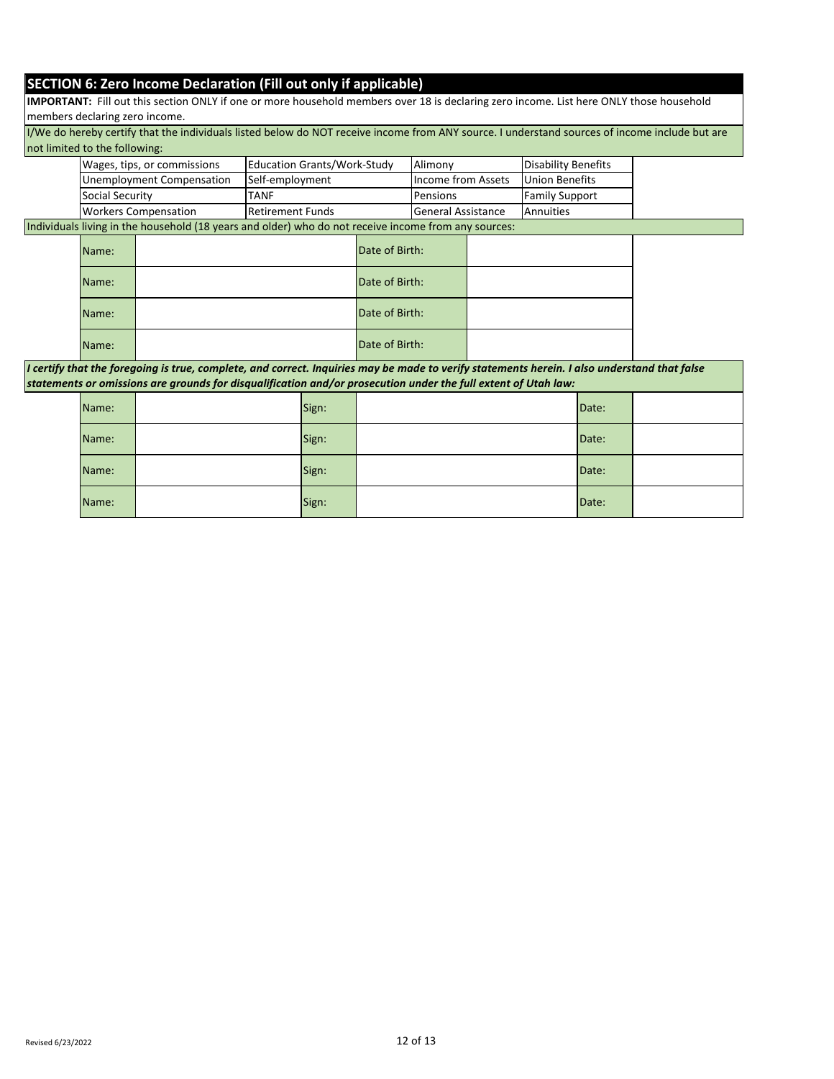## **SECTION 6: Zero Income Declaration (Fill out only if applicable)**

**IMPORTANT:** Fill out this section ONLY if one or more household members over 18 is declaring zero income. List here ONLY those household members declaring zero income.

I/We do hereby certify that the individuals listed below do NOT receive income from ANY source. I understand sources of income include but are not limited to the following:

| Wages, tips, or commissions | <b>Education Grants/Work-Study</b> | <b>Alimony</b>             | Disability Benefits     |
|-----------------------------|------------------------------------|----------------------------|-------------------------|
| Unemployment Compensation   | ISelf-employment                   | Income from Assets         | <b>I</b> Union Benefits |
| <b>Social Security</b>      | TANF                               | <b>IPensions</b>           | <b>Family Support</b>   |
| <b>Workers Compensation</b> | <b>IRetirement Funds</b>           | <b>IGeneral Assistance</b> | <b>IAnnuities</b>       |

Individuals living in the household (18 years and older) who do not receive income from any sources:

| Name: | Date of Birth: |  |
|-------|----------------|--|
| Name: | Date of Birth: |  |
| Name: | Date of Birth: |  |
| Name: | Date of Birth: |  |

*I certify that the foregoing is true, complete, and correct. Inquiries may be made to verify statements herein. I also understand that false statements or omissions are grounds for disqualification and/or prosecution under the full extent of Utah law:*

| Name: | Sign: | Date: |  |
|-------|-------|-------|--|
| Name: | Sign: | Date: |  |
| Name: | Sign: | Date: |  |
| Name: | Sign: | Date: |  |